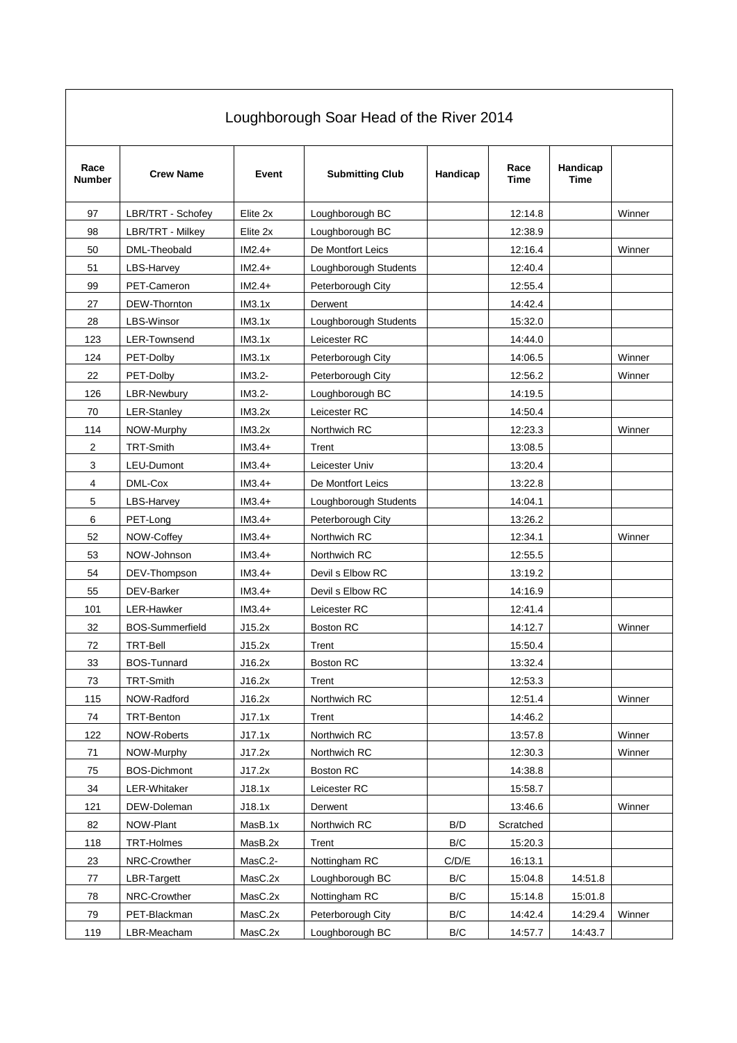| Loughborough Soar Head of the River 2014 |                        |          |                        |                         |              |                  |        |
|------------------------------------------|------------------------|----------|------------------------|-------------------------|--------------|------------------|--------|
| Race<br>Number                           | <b>Crew Name</b>       | Event    | <b>Submitting Club</b> | Handicap                | Race<br>Time | Handicap<br>Time |        |
| 97                                       | LBR/TRT - Schofey      | Elite 2x | Loughborough BC        |                         | 12:14.8      |                  | Winner |
| 98                                       | LBR/TRT - Milkey       | Elite 2x | Loughborough BC        |                         | 12:38.9      |                  |        |
| 50                                       | DML-Theobald           | $IM2.4+$ | De Montfort Leics      |                         | 12:16.4      |                  | Winner |
| 51                                       | LBS-Harvey             | $IM2.4+$ | Loughborough Students  |                         | 12:40.4      |                  |        |
| 99                                       | PET-Cameron            | $IM2.4+$ | Peterborough City      |                         | 12:55.4      |                  |        |
| 27                                       | DEW-Thornton           | IM3.1x   | Derwent                |                         | 14:42.4      |                  |        |
| 28                                       | <b>LBS-Winsor</b>      | IM3.1x   | Loughborough Students  |                         | 15:32.0      |                  |        |
| 123                                      | <b>LER-Townsend</b>    | IM3.1x   | Leicester RC           |                         | 14:44.0      |                  |        |
| 124                                      | PET-Dolby              | IM3.1x   | Peterborough City      |                         | 14:06.5      |                  | Winner |
| 22                                       | PET-Dolby              | IM3.2-   | Peterborough City      |                         | 12:56.2      |                  | Winner |
| 126                                      | LBR-Newbury            | $IM3.2-$ | Loughborough BC        |                         | 14:19.5      |                  |        |
| 70                                       | <b>LER-Stanley</b>     | IM3.2x   | Leicester RC           |                         | 14:50.4      |                  |        |
| 114                                      | NOW-Murphy             | IM3.2x   | Northwich RC           |                         | 12:23.3      |                  | Winner |
| $\sqrt{2}$                               | <b>TRT-Smith</b>       | $IM3.4+$ | Trent                  |                         | 13:08.5      |                  |        |
| 3                                        | LEU-Dumont             | $IM3.4+$ | Leicester Univ         |                         | 13:20.4      |                  |        |
| 4                                        | DML-Cox                | $IM3.4+$ | De Montfort Leics      |                         | 13:22.8      |                  |        |
| 5                                        | LBS-Harvey             | $IM3.4+$ | Loughborough Students  |                         | 14:04.1      |                  |        |
| 6                                        | PET-Long               | $IM3.4+$ | Peterborough City      |                         | 13:26.2      |                  |        |
| 52                                       | NOW-Coffey             | $IM3.4+$ | Northwich RC           |                         | 12:34.1      |                  | Winner |
| 53                                       | NOW-Johnson            | $IM3.4+$ | Northwich RC           |                         | 12:55.5      |                  |        |
| 54                                       | DEV-Thompson           | $IM3.4+$ | Devil s Elbow RC       |                         | 13:19.2      |                  |        |
| 55                                       | DEV-Barker             | $IM3.4+$ | Devil s Elbow RC       |                         | 14:16.9      |                  |        |
| 101                                      | LER-Hawker             | $IM3.4+$ | Leicester RC           |                         | 12:41.4      |                  |        |
| 32                                       | <b>BOS-Summerfield</b> | J15.2x   | Boston RC              |                         | 14:12.7      |                  | Winner |
| 72                                       | <b>TRT-Bell</b>        | J15.2x   | Trent                  |                         | 15:50.4      |                  |        |
| 33                                       | <b>BOS-Tunnard</b>     | J16.2x   | <b>Boston RC</b>       |                         | 13:32.4      |                  |        |
| 73                                       | TRT-Smith              | J16.2x   | Trent                  |                         | 12:53.3      |                  |        |
| 115                                      | NOW-Radford            | J16.2x   | Northwich RC           |                         | 12:51.4      |                  | Winner |
| 74                                       | TRT-Benton             | J17.1x   | Trent                  |                         | 14:46.2      |                  |        |
| 122                                      | NOW-Roberts            | J17.1x   | Northwich RC           |                         | 13:57.8      |                  | Winner |
| 71                                       | NOW-Murphy             | J17.2x   | Northwich RC           |                         | 12:30.3      |                  | Winner |
| 75                                       | <b>BOS-Dichmont</b>    | J17.2x   | Boston RC              |                         | 14:38.8      |                  |        |
| 34                                       | LER-Whitaker           | J18.1x   | Leicester RC           |                         | 15:58.7      |                  |        |
| 121                                      | DEW-Doleman            | J18.1x   | Derwent                |                         | 13:46.6      |                  | Winner |
| 82                                       | NOW-Plant              | MasB.1x  | Northwich RC           | B/D                     | Scratched    |                  |        |
| 118                                      | <b>TRT-Holmes</b>      | MasB.2x  | Trent                  | $\mathsf{B}/\mathsf{C}$ | 15:20.3      |                  |        |
| 23                                       | NRC-Crowther           | MasC.2-  | Nottingham RC          | C/D/E                   | 16:13.1      |                  |        |
| 77                                       | <b>LBR-Targett</b>     | MasC.2x  | Loughborough BC        | $\mathsf{B}/\mathsf{C}$ | 15:04.8      | 14:51.8          |        |
| 78                                       | NRC-Crowther           | MasC.2x  | Nottingham RC          | B/C                     | 15:14.8      | 15:01.8          |        |
| 79                                       | PET-Blackman           | MasC.2x  | Peterborough City      | B/C                     | 14:42.4      | 14:29.4          | Winner |
| 119                                      | LBR-Meacham            | MasC.2x  | Loughborough BC        | B/C                     | 14:57.7      | 14:43.7          |        |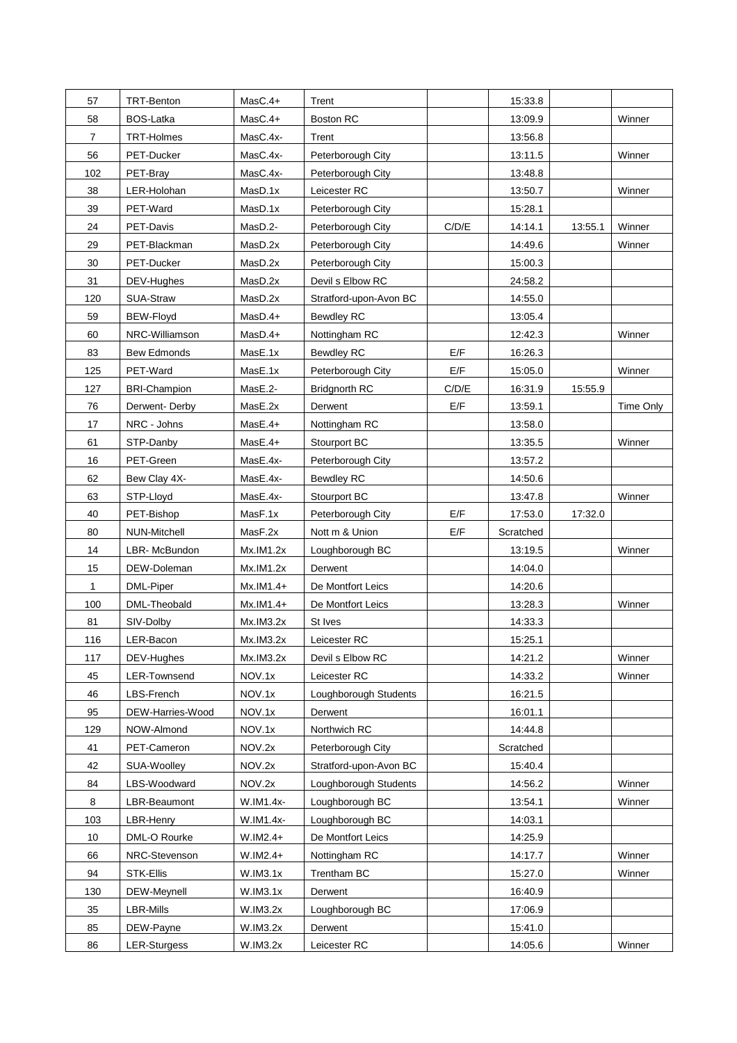| 57           | TRT-Benton          | $MasC.4+$   | Trent                  |       | 15:33.8   |         |           |
|--------------|---------------------|-------------|------------------------|-------|-----------|---------|-----------|
| 58           | <b>BOS-Latka</b>    | $MasC.4+$   | Boston RC              |       | 13:09.9   |         | Winner    |
| 7            | TRT-Holmes          | MasC.4x-    | Trent                  |       | 13:56.8   |         |           |
| 56           | PET-Ducker          | MasC.4x-    | Peterborough City      |       | 13:11.5   |         | Winner    |
| 102          | PET-Bray            | MasC.4x-    | Peterborough City      |       | 13:48.8   |         |           |
| 38           | LER-Holohan         | MasD.1x     | Leicester RC           |       | 13:50.7   |         | Winner    |
| 39           | PET-Ward            | MasD.1x     | Peterborough City      |       | 15:28.1   |         |           |
| 24           | PET-Davis           | MasD.2-     | Peterborough City      | C/D/E | 14:14.1   | 13:55.1 | Winner    |
| 29           | PET-Blackman        | MasD.2x     | Peterborough City      |       | 14:49.6   |         | Winner    |
| 30           | PET-Ducker          | MasD.2x     | Peterborough City      |       | 15:00.3   |         |           |
| 31           | DEV-Hughes          | MasD.2x     | Devil s Elbow RC       |       | 24:58.2   |         |           |
| 120          | SUA-Straw           | MasD.2x     | Stratford-upon-Avon BC |       | 14:55.0   |         |           |
| 59           | BEW-Floyd           | $MasD.4+$   | <b>Bewdley RC</b>      |       | 13:05.4   |         |           |
| 60           | NRC-Williamson      | $MasD.4+$   | Nottingham RC          |       | 12:42.3   |         | Winner    |
| 83           | <b>Bew Edmonds</b>  | MasE.1x     | <b>Bewdley RC</b>      | E/F   | 16:26.3   |         |           |
| 125          | PET-Ward            | MasE.1x     | Peterborough City      | E/F   | 15:05.0   |         | Winner    |
| 127          | <b>BRI-Champion</b> | MasE.2-     | <b>Bridgnorth RC</b>   | C/D/E | 16:31.9   | 15:55.9 |           |
| 76           | Derwent-Derby       | MasE.2x     | Derwent                | E/F   | 13:59.1   |         | Time Only |
| 17           | NRC - Johns         | $Mase.4+$   | Nottingham RC          |       | 13:58.0   |         |           |
| 61           | STP-Danby           | $Mase.4+$   | Stourport BC           |       | 13:35.5   |         | Winner    |
| 16           | PET-Green           | MasE.4x-    | Peterborough City      |       | 13:57.2   |         |           |
| 62           | Bew Clay 4X-        | MasE.4x-    | <b>Bewdley RC</b>      |       | 14:50.6   |         |           |
| 63           | STP-Lloyd           | MasE.4x-    | Stourport BC           |       | 13:47.8   |         | Winner    |
| 40           | PET-Bishop          | MasF.1x     | Peterborough City      | E/F   | 17:53.0   | 17:32.0 |           |
| 80           | NUN-Mitchell        | MasF.2x     | Nott m & Union         | E/F   | Scratched |         |           |
| 14           | LBR-McBundon        | Mx.IM1.2x   | Loughborough BC        |       | 13:19.5   |         | Winner    |
| 15           | DEW-Doleman         | Mx.IM1.2x   | Derwent                |       | 14:04.0   |         |           |
| $\mathbf{1}$ | DML-Piper           | $Mx.IM1.4+$ | De Montfort Leics      |       | 14:20.6   |         |           |
| 100          | DML-Theobald        | $Mx.IM1.4+$ | De Montfort Leics      |       | 13:28.3   |         | Winner    |
| 81           | SIV-Dolby           | Mx.IM3.2x   | St Ives                |       | 14:33.3   |         |           |
| 116          | LER-Bacon           | Mx.IM3.2x   | Leicester RC           |       | 15:25.1   |         |           |
| 117          | DEV-Hughes          | Mx.IM3.2x   | Devil s Elbow RC       |       | 14:21.2   |         | Winner    |
| 45           | <b>LER-Townsend</b> | NOV.1x      | Leicester RC           |       | 14:33.2   |         | Winner    |
| 46           | LBS-French          | NOV.1x      | Loughborough Students  |       | 16:21.5   |         |           |
| 95           | DEW-Harries-Wood    | NOV.1x      | Derwent                |       | 16:01.1   |         |           |
| 129          | NOW-Almond          | NOV.1x      | Northwich RC           |       | 14:44.8   |         |           |
| 41           | PET-Cameron         | NOV.2x      | Peterborough City      |       | Scratched |         |           |
| 42           | SUA-Woolley         | NOV.2x      | Stratford-upon-Avon BC |       | 15:40.4   |         |           |
| 84           | LBS-Woodward        | NOV.2x      | Loughborough Students  |       | 14:56.2   |         | Winner    |
| 8            | LBR-Beaumont        | W.IM1.4x-   | Loughborough BC        |       | 13:54.1   |         | Winner    |
| 103          | LBR-Henry           | W.IM1.4x-   | Loughborough BC        |       | 14:03.1   |         |           |
| 10           | DML-O Rourke        | $W.IM2.4+$  | De Montfort Leics      |       | 14:25.9   |         |           |
| 66           | NRC-Stevenson       | $W.IM2.4+$  | Nottingham RC          |       | 14:17.7   |         | Winner    |
| 94           | STK-Ellis           | W.IM3.1x    | Trentham BC            |       | 15:27.0   |         | Winner    |
| 130          | DEW-Meynell         | W.IM3.1x    | Derwent                |       | 16:40.9   |         |           |
| 35           | LBR-Mills           | W.IM3.2x    | Loughborough BC        |       | 17:06.9   |         |           |
| 85           | DEW-Payne           | W.IM3.2x    | Derwent                |       | 15:41.0   |         |           |
| 86           | <b>LER-Sturgess</b> | W.IM3.2x    | Leicester RC           |       | 14:05.6   |         | Winner    |